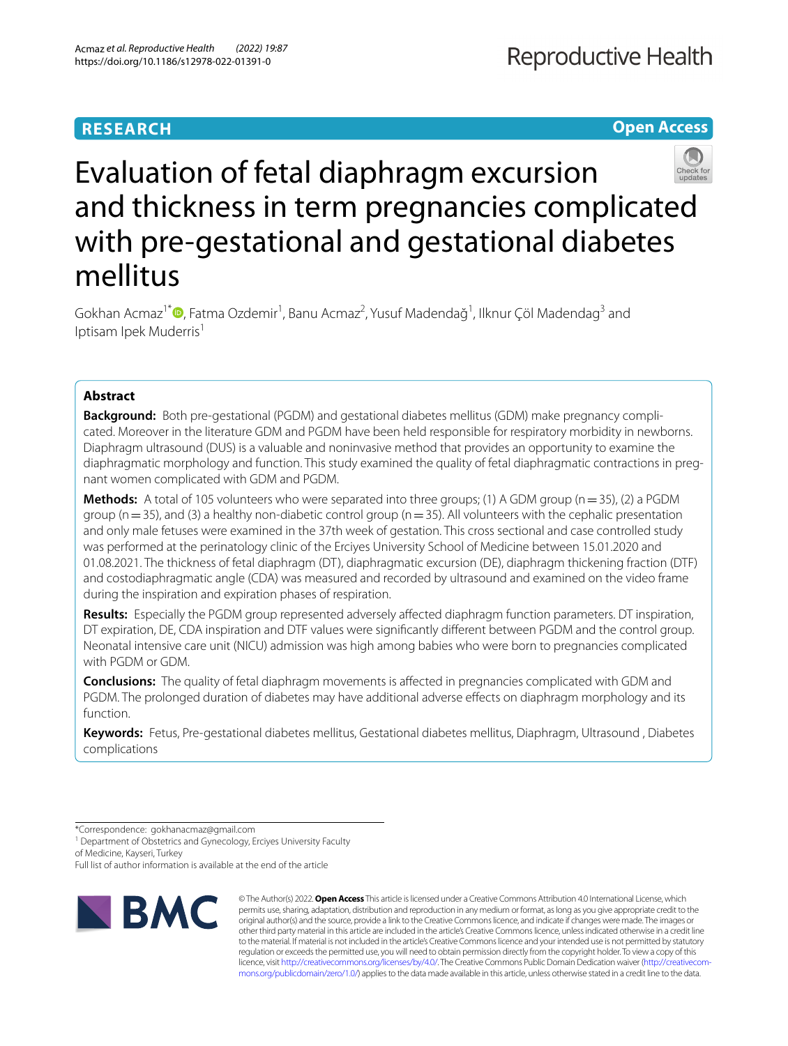## **RESEARCH**

**Open Access**

# Evaluation of fetal diaphragm excursion and thickness in term pregnancies complicated with pre-gestational and gestational diabetes mellitus

Gokhan Acmaz<sup>1\*</sup><sup>®</sup>[,](http://orcid.org/0000-0002-4215-3676) Fatma Ozdemir<sup>1</sup>, Banu Acmaz<sup>2</sup>, Yusuf Madendağ<sup>1</sup>, Ilknur Çöl Madendag<sup>3</sup> and Iptisam Ipek Muderris<sup>1</sup>

### **Abstract**

**Background:** Both pre-gestational (PGDM) and gestational diabetes mellitus (GDM) make pregnancy complicated. Moreover in the literature GDM and PGDM have been held responsible for respiratory morbidity in newborns. Diaphragm ultrasound (DUS) is a valuable and noninvasive method that provides an opportunity to examine the diaphragmatic morphology and function. This study examined the quality of fetal diaphragmatic contractions in pregnant women complicated with GDM and PGDM.

**Methods:** A total of 105 volunteers who were separated into three groups; (1) A GDM group (n = 35), (2) a PGDM group ( $n=35$ ), and (3) a healthy non-diabetic control group ( $n=35$ ). All volunteers with the cephalic presentation and only male fetuses were examined in the 37th week of gestation. This cross sectional and case controlled study was performed at the perinatology clinic of the Erciyes University School of Medicine between 15.01.2020 and 01.08.2021. The thickness of fetal diaphragm (DT), diaphragmatic excursion (DE), diaphragm thickening fraction (DTF) and costodiaphragmatic angle (CDA) was measured and recorded by ultrasound and examined on the video frame during the inspiration and expiration phases of respiration.

**Results:** Especially the PGDM group represented adversely afected diaphragm function parameters. DT inspiration, DT expiration, DE, CDA inspiration and DTF values were signifcantly diferent between PGDM and the control group. Neonatal intensive care unit (NICU) admission was high among babies who were born to pregnancies complicated with PGDM or GDM.

**Conclusions:** The quality of fetal diaphragm movements is afected in pregnancies complicated with GDM and PGDM. The prolonged duration of diabetes may have additional adverse effects on diaphragm morphology and its function.

**Keywords:** Fetus, Pre-gestational diabetes mellitus, Gestational diabetes mellitus, Diaphragm, Ultrasound , Diabetes complications

\*Correspondence: gokhanacmaz@gmail.com

<sup>1</sup> Department of Obstetrics and Gynecology, Erciyes University Faculty of Medicine, Kayseri, Turkey

Full list of author information is available at the end of the article



© The Author(s) 2022. **Open Access** This article is licensed under a Creative Commons Attribution 4.0 International License, which permits use, sharing, adaptation, distribution and reproduction in any medium or format, as long as you give appropriate credit to the original author(s) and the source, provide a link to the Creative Commons licence, and indicate if changes were made. The images or other third party material in this article are included in the article's Creative Commons licence, unless indicated otherwise in a credit line to the material. If material is not included in the article's Creative Commons licence and your intended use is not permitted by statutory regulation or exceeds the permitted use, you will need to obtain permission directly from the copyright holder. To view a copy of this licence, visit [http://creativecommons.org/licenses/by/4.0/.](http://creativecommons.org/licenses/by/4.0/) The Creative Commons Public Domain Dedication waiver ([http://creativecom](http://creativecommons.org/publicdomain/zero/1.0/)[mons.org/publicdomain/zero/1.0/\)](http://creativecommons.org/publicdomain/zero/1.0/) applies to the data made available in this article, unless otherwise stated in a credit line to the data.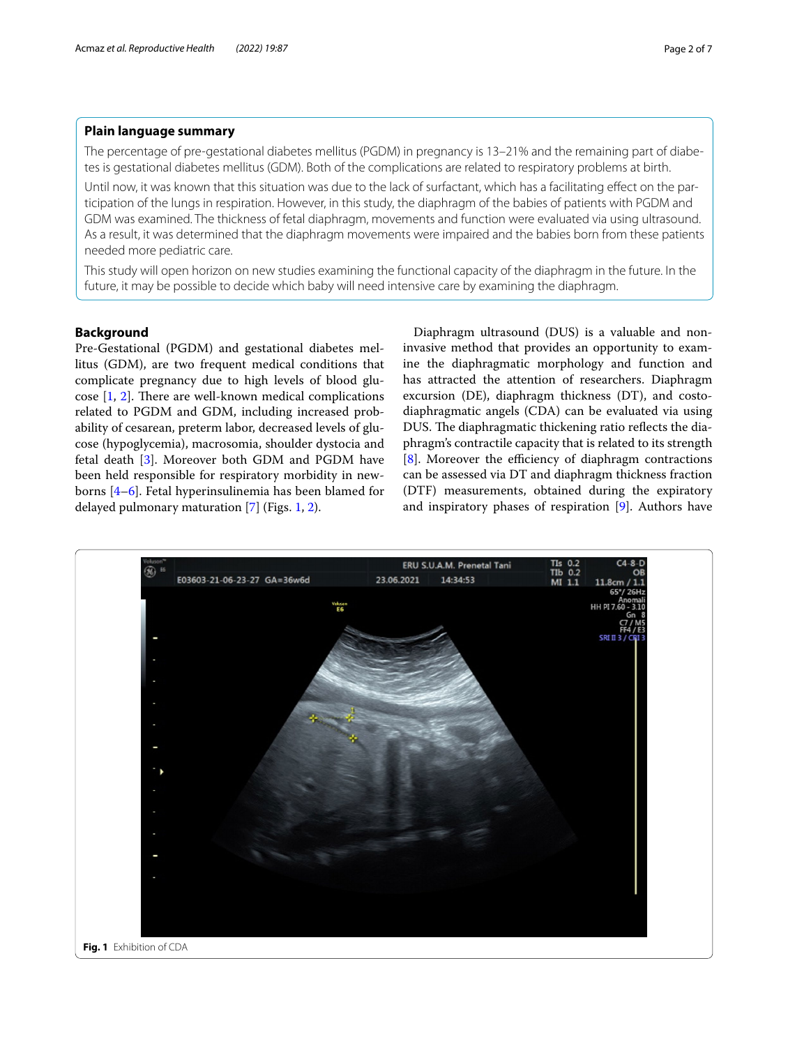#### **Plain language summary**

The percentage of pre-gestational diabetes mellitus (PGDM) in pregnancy is 13–21% and the remaining part of diabetes is gestational diabetes mellitus (GDM). Both of the complications are related to respiratory problems at birth.

Until now, it was known that this situation was due to the lack of surfactant, which has a facilitating efect on the participation of the lungs in respiration. However, in this study, the diaphragm of the babies of patients with PGDM and GDM was examined. The thickness of fetal diaphragm, movements and function were evaluated via using ultrasound. As a result, it was determined that the diaphragm movements were impaired and the babies born from these patients needed more pediatric care.

This study will open horizon on new studies examining the functional capacity of the diaphragm in the future. In the future, it may be possible to decide which baby will need intensive care by examining the diaphragm.

#### **Background**

Pre-Gestational (PGDM) and gestational diabetes mellitus (GDM), are two frequent medical conditions that complicate pregnancy due to high levels of blood glucose  $[1, 2]$  $[1, 2]$  $[1, 2]$  $[1, 2]$ . There are well-known medical complications related to PGDM and GDM, including increased probability of cesarean, preterm labor, decreased levels of glucose (hypoglycemia), macrosomia, shoulder dystocia and fetal death [[3\]](#page-6-2). Moreover both GDM and PGDM have been held responsible for respiratory morbidity in newborns [\[4](#page-6-3)[–6\]](#page-6-4). Fetal hyperinsulinemia has been blamed for delayed pulmonary maturation [\[7](#page-6-5)] (Figs. [1,](#page-1-0) [2](#page-2-0)).

Diaphragm ultrasound (DUS) is a valuable and noninvasive method that provides an opportunity to examine the diaphragmatic morphology and function and has attracted the attention of researchers. Diaphragm excursion (DE), diaphragm thickness (DT), and costodiaphragmatic angels (CDA) can be evaluated via using DUS. The diaphragmatic thickening ratio reflects the diaphragm's contractile capacity that is related to its strength  $[8]$  $[8]$ . Moreover the efficiency of diaphragm contractions can be assessed via DT and diaphragm thickness fraction (DTF) measurements, obtained during the expiratory and inspiratory phases of respiration [\[9](#page-6-7)]. Authors have

<span id="page-1-0"></span>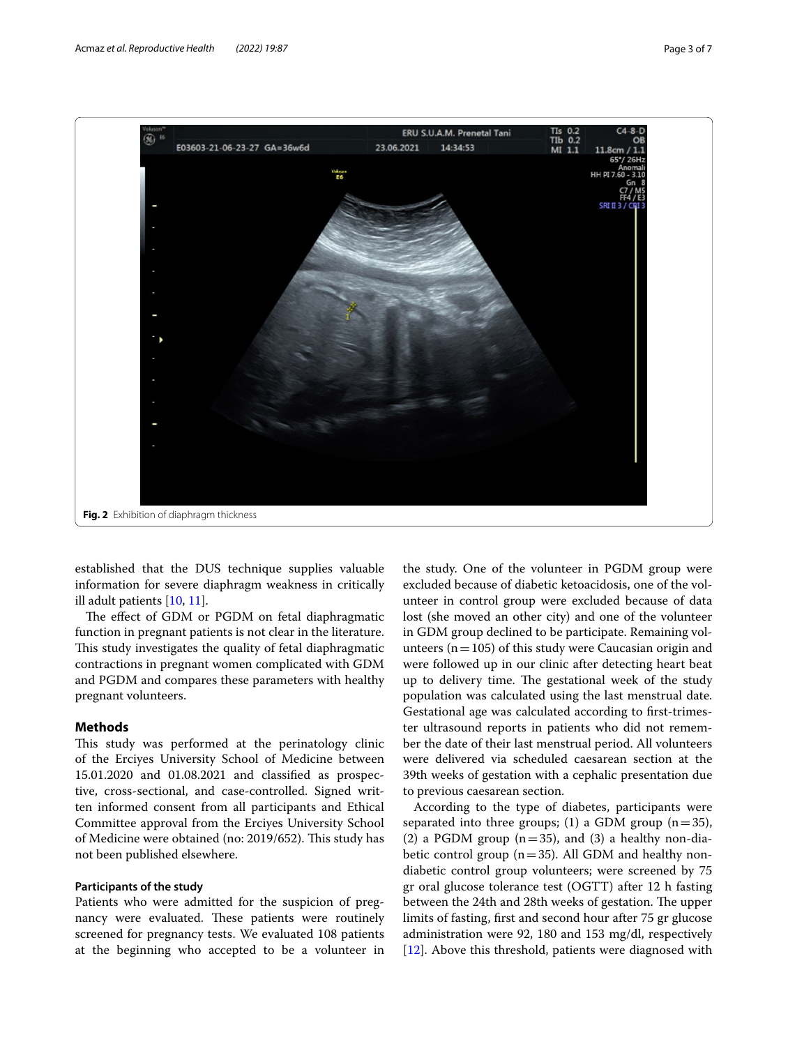

<span id="page-2-0"></span>established that the DUS technique supplies valuable information for severe diaphragm weakness in critically ill adult patients [[10,](#page-6-8) [11](#page-6-9)].

The effect of GDM or PGDM on fetal diaphragmatic function in pregnant patients is not clear in the literature. This study investigates the quality of fetal diaphragmatic contractions in pregnant women complicated with GDM and PGDM and compares these parameters with healthy pregnant volunteers.

#### **Methods**

This study was performed at the perinatology clinic of the Erciyes University School of Medicine between 15.01.2020 and 01.08.2021 and classifed as prospective, cross-sectional, and case-controlled. Signed written informed consent from all participants and Ethical Committee approval from the Erciyes University School of Medicine were obtained (no: 2019/652). This study has not been published elsewhere.

#### **Participants of the study**

Patients who were admitted for the suspicion of pregnancy were evaluated. These patients were routinely screened for pregnancy tests. We evaluated 108 patients at the beginning who accepted to be a volunteer in

the study. One of the volunteer in PGDM group were excluded because of diabetic ketoacidosis, one of the volunteer in control group were excluded because of data lost (she moved an other city) and one of the volunteer in GDM group declined to be participate. Remaining volunteers ( $n=105$ ) of this study were Caucasian origin and were followed up in our clinic after detecting heart beat up to delivery time. The gestational week of the study population was calculated using the last menstrual date. Gestational age was calculated according to frst-trimester ultrasound reports in patients who did not remember the date of their last menstrual period. All volunteers were delivered via scheduled caesarean section at the 39th weeks of gestation with a cephalic presentation due to previous caesarean section.

According to the type of diabetes, participants were separated into three groups; (1) a GDM group  $(n=35)$ , (2) a PGDM group ( $n=35$ ), and (3) a healthy non-diabetic control group  $(n=35)$ . All GDM and healthy nondiabetic control group volunteers; were screened by 75 gr oral glucose tolerance test (OGTT) after 12 h fasting between the 24th and 28th weeks of gestation. The upper limits of fasting, frst and second hour after 75 gr glucose administration were 92, 180 and 153 mg/dl, respectively [[12\]](#page-6-10). Above this threshold, patients were diagnosed with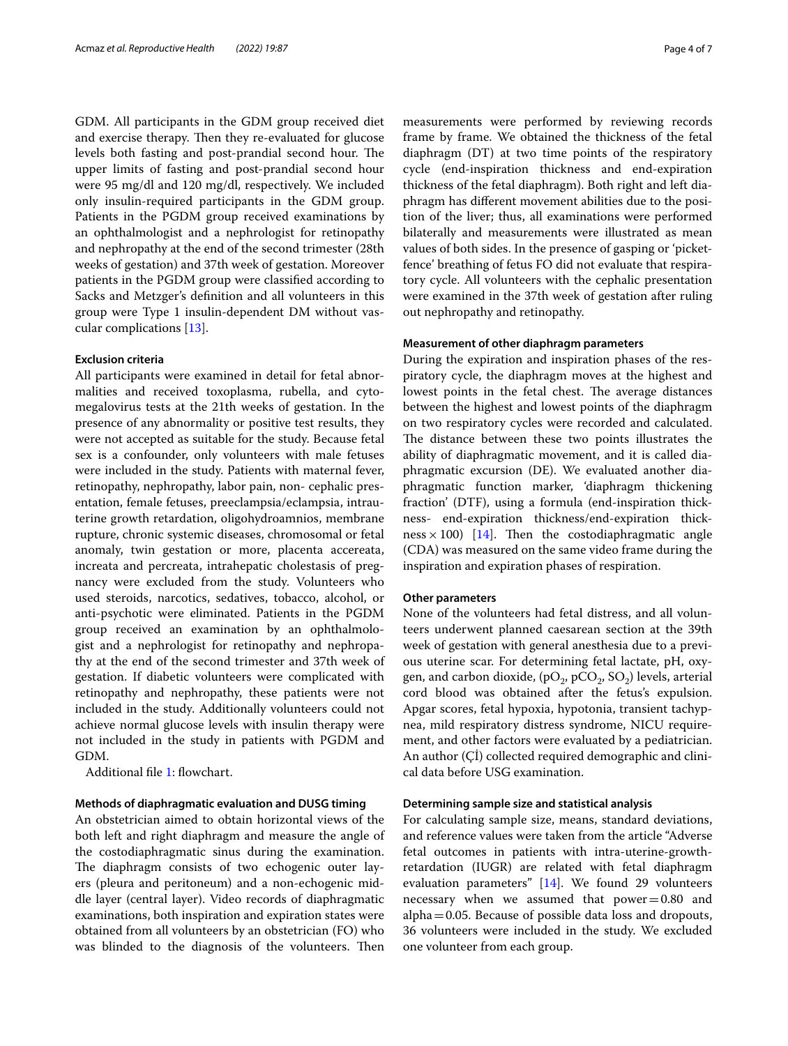GDM. All participants in the GDM group received diet and exercise therapy. Then they re-evaluated for glucose levels both fasting and post-prandial second hour. The upper limits of fasting and post-prandial second hour were 95 mg/dl and 120 mg/dl, respectively. We included only insulin-required participants in the GDM group. Patients in the PGDM group received examinations by an ophthalmologist and a nephrologist for retinopathy and nephropathy at the end of the second trimester (28th weeks of gestation) and 37th week of gestation. Moreover patients in the PGDM group were classifed according to Sacks and Metzger's defnition and all volunteers in this group were Type 1 insulin-dependent DM without vascular complications [\[13](#page-6-11)].

#### **Exclusion criteria**

All participants were examined in detail for fetal abnormalities and received toxoplasma, rubella, and cytomegalovirus tests at the 21th weeks of gestation. In the presence of any abnormality or positive test results, they were not accepted as suitable for the study. Because fetal sex is a confounder, only volunteers with male fetuses were included in the study. Patients with maternal fever, retinopathy, nephropathy, labor pain, non- cephalic presentation, female fetuses, preeclampsia/eclampsia, intrauterine growth retardation, oligohydroamnios, membrane rupture, chronic systemic diseases, chromosomal or fetal anomaly, twin gestation or more, placenta accereata, increata and percreata, intrahepatic cholestasis of pregnancy were excluded from the study. Volunteers who used steroids, narcotics, sedatives, tobacco, alcohol, or anti-psychotic were eliminated. Patients in the PGDM group received an examination by an ophthalmologist and a nephrologist for retinopathy and nephropathy at the end of the second trimester and 37th week of gestation. If diabetic volunteers were complicated with retinopathy and nephropathy, these patients were not included in the study. Additionally volunteers could not achieve normal glucose levels with insulin therapy were not included in the study in patients with PGDM and GDM.

Additional fle [1](#page-5-0): fowchart.

#### **Methods of diaphragmatic evaluation and DUSG timing**

An obstetrician aimed to obtain horizontal views of the both left and right diaphragm and measure the angle of the costodiaphragmatic sinus during the examination. The diaphragm consists of two echogenic outer layers (pleura and peritoneum) and a non-echogenic middle layer (central layer). Video records of diaphragmatic examinations, both inspiration and expiration states were obtained from all volunteers by an obstetrician (FO) who was blinded to the diagnosis of the volunteers. Then measurements were performed by reviewing records frame by frame. We obtained the thickness of the fetal diaphragm (DT) at two time points of the respiratory cycle (end-inspiration thickness and end-expiration thickness of the fetal diaphragm). Both right and left diaphragm has diferent movement abilities due to the position of the liver; thus, all examinations were performed bilaterally and measurements were illustrated as mean values of both sides. In the presence of gasping or 'picketfence' breathing of fetus FO did not evaluate that respiratory cycle. All volunteers with the cephalic presentation were examined in the 37th week of gestation after ruling out nephropathy and retinopathy.

#### **Measurement of other diaphragm parameters**

During the expiration and inspiration phases of the respiratory cycle, the diaphragm moves at the highest and lowest points in the fetal chest. The average distances between the highest and lowest points of the diaphragm on two respiratory cycles were recorded and calculated. The distance between these two points illustrates the ability of diaphragmatic movement, and it is called diaphragmatic excursion (DE). We evaluated another diaphragmatic function marker, 'diaphragm thickening fraction' (DTF), using a formula (end-inspiration thickness- end-expiration thickness/end-expiration thickness  $\times$  100) [\[14](#page-6-12)]. Then the costodiaphragmatic angle (CDA) was measured on the same video frame during the inspiration and expiration phases of respiration.

#### **Other parameters**

None of the volunteers had fetal distress, and all volunteers underwent planned caesarean section at the 39th week of gestation with general anesthesia due to a previous uterine scar. For determining fetal lactate, pH, oxygen, and carbon dioxide, (pO<sub>2</sub>, pCO<sub>2</sub>, SO<sub>2</sub>) levels, arterial cord blood was obtained after the fetus's expulsion. Apgar scores, fetal hypoxia, hypotonia, transient tachypnea, mild respiratory distress syndrome, NICU requirement, and other factors were evaluated by a pediatrician. An author (Çİ) collected required demographic and clinical data before USG examination.

#### **Determining sample size and statistical analysis**

For calculating sample size, means, standard deviations, and reference values were taken from the article "Adverse fetal outcomes in patients with intra-uterine-growthretardation (IUGR) are related with fetal diaphragm evaluation parameters" [[14\]](#page-6-12). We found 29 volunteers necessary when we assumed that  $power = 0.80$  and alpha=0.05. Because of possible data loss and dropouts, 36 volunteers were included in the study. We excluded one volunteer from each group.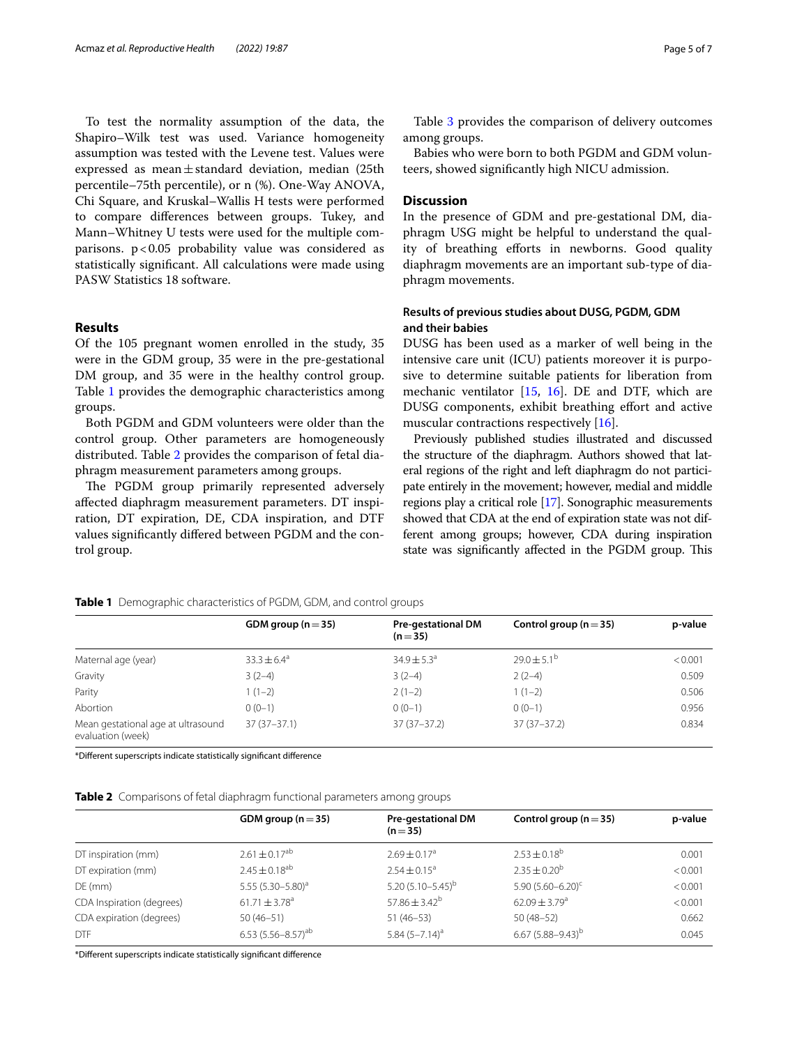To test the normality assumption of the data, the Shapiro–Wilk test was used. Variance homogeneity assumption was tested with the Levene test. Values were expressed as mean $\pm$ standard deviation, median (25th percentile–75th percentile), or n (%). One-Way ANOVA, Chi Square, and Kruskal–Wallis H tests were performed to compare diferences between groups. Tukey, and Mann–Whitney U tests were used for the multiple comparisons.  $p < 0.05$  probability value was considered as statistically signifcant. All calculations were made using PASW Statistics 18 software.

#### **Results**

Of the 105 pregnant women enrolled in the study, 35 were in the GDM group, 35 were in the pre-gestational DM group, and 35 were in the healthy control group. Table [1](#page-4-0) provides the demographic characteristics among groups.

Both PGDM and GDM volunteers were older than the control group. Other parameters are homogeneously distributed. Table [2](#page-4-1) provides the comparison of fetal diaphragm measurement parameters among groups.

The PGDM group primarily represented adversely afected diaphragm measurement parameters. DT inspiration, DT expiration, DE, CDA inspiration, and DTF values signifcantly difered between PGDM and the control group.

Table [3](#page-5-1) provides the comparison of delivery outcomes among groups.

Babies who were born to both PGDM and GDM volunteers, showed signifcantly high NICU admission.

#### **Discussion**

In the presence of GDM and pre-gestational DM, diaphragm USG might be helpful to understand the quality of breathing efforts in newborns. Good quality diaphragm movements are an important sub-type of diaphragm movements.

#### **Results of previous studies about DUSG, PGDM, GDM and their babies**

DUSG has been used as a marker of well being in the intensive care unit (ICU) patients moreover it is purposive to determine suitable patients for liberation from mechanic ventilator [[15](#page-6-13), [16](#page-6-14)]. DE and DTF, which are DUSG components, exhibit breathing efort and active muscular contractions respectively [\[16](#page-6-14)].

Previously published studies illustrated and discussed the structure of the diaphragm. Authors showed that lateral regions of the right and left diaphragm do not participate entirely in the movement; however, medial and middle regions play a critical role [[17](#page-6-15)]. Sonographic measurements showed that CDA at the end of expiration state was not different among groups; however, CDA during inspiration state was significantly affected in the PGDM group. This

|                                                         | GDM group ( $n = 35$ ) | <b>Pre-gestational DM</b><br>$(n=35)$ | Control group ( $n = 35$ ) | p-value |
|---------------------------------------------------------|------------------------|---------------------------------------|----------------------------|---------|
| Maternal age (year)                                     | $33.3 \pm 6.4^{\circ}$ | $34.9 \pm 5.3^{\circ}$                | $29.0 \pm 5.1^{\circ}$     | < 0.001 |
| Gravity                                                 | $3(2-4)$               | $3(2-4)$                              | $2(2-4)$                   | 0.509   |
| Parity                                                  | $1(1-2)$               | $2(1-2)$                              | $1(1-2)$                   | 0.506   |
| Abortion                                                | $0(0-1)$               | $0(0-1)$                              | $0(0-1)$                   | 0.956   |
| Mean gestational age at ultrasound<br>evaluation (week) | $37(37-37.1)$          | $37(37-37.2)$                         | $37(37-37.2)$              | 0.834   |

<span id="page-4-0"></span>**Table 1** Demographic characteristics of PGDM, GDM, and control groups

\*Diferent superscripts indicate statistically signifcant diference

<span id="page-4-1"></span>**Table 2** Comparisons of fetal diaphragm functional parameters among groups

|                           | GDM group ( $n = 35$ )        | <b>Pre-gestational DM</b><br>$(n=35)$ | Control group ( $n = 35$ ) | p-value |
|---------------------------|-------------------------------|---------------------------------------|----------------------------|---------|
| DT inspiration (mm)       | $2.61 \pm 0.17^{ab}$          | $2.69 \pm 0.17$ <sup>a</sup>          | $2.53 \pm 0.18^b$          | 0.001   |
| DT expiration (mm)        | $2.45 \pm 0.18$ <sup>ab</sup> | $2.54 \pm 0.15^a$                     | $2.35 \pm 0.20^b$          | < 0.001 |
| $DE$ (mm)                 | 5.55 $(5.30 - 5.80)^a$        | 5.20 $(5.10 - 5.45)^{b}$              | 5.90 $(5.60 - 6.20)^c$     | < 0.001 |
| CDA Inspiration (degrees) | $61.71 \pm 3.78$ <sup>a</sup> | 57.86 $\pm$ 3.42 <sup>b</sup>         | $62.09 + 3.79a$            | < 0.001 |
| CDA expiration (degrees)  | $50(46-51)$                   | $51(46-53)$                           | $50(48-52)$                | 0.662   |
| <b>DTF</b>                | 6.53 $(5.56 - 8.57)^{ab}$     | 5.84 $(5-7.14)^a$                     | $6.67(5.88 - 9.43)^b$      | 0.045   |

\*Diferent superscripts indicate statistically signifcant diference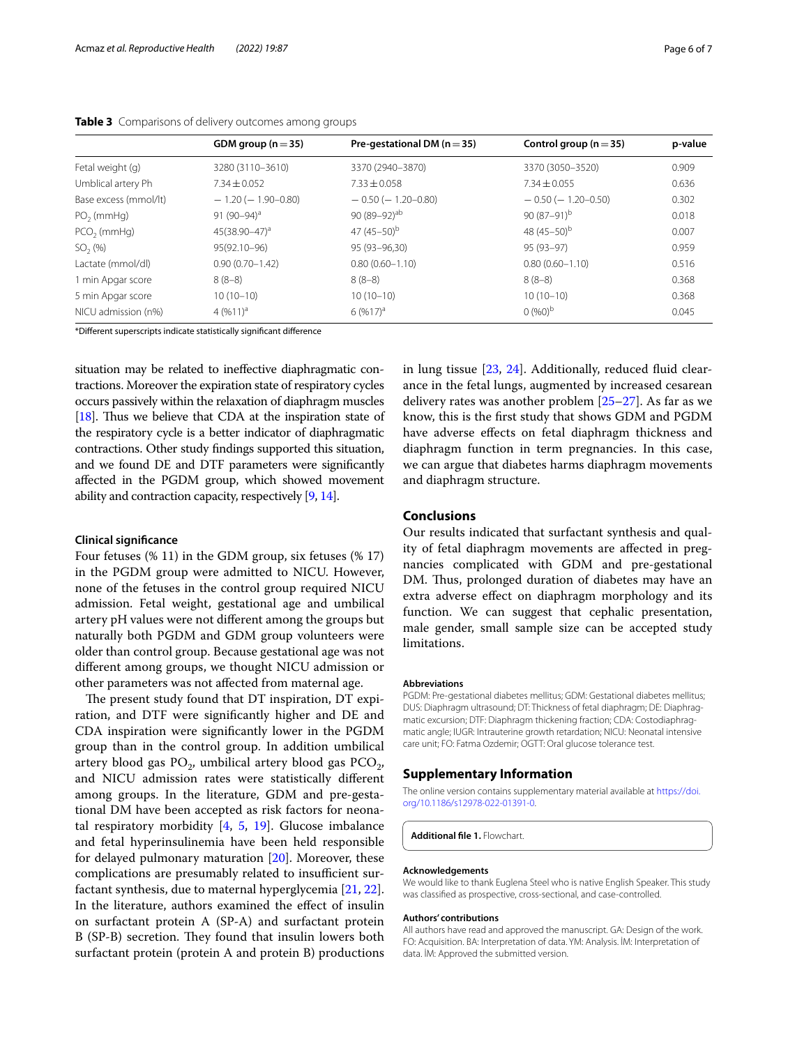|                       | GDM group ( $n = 35$ )  | Pre-gestational DM ( $n = 35$ ) | Control group ( $n = 35$ ) | p-value |
|-----------------------|-------------------------|---------------------------------|----------------------------|---------|
| Fetal weight (g)      | 3280 (3110-3610)        | 3370 (2940-3870)                | 3370 (3050-3520)           | 0.909   |
| Umblical artery Ph    | $7.34 \pm 0.052$        | $7.33 + 0.058$                  | $7.34 + 0.055$             | 0.636   |
| Base excess (mmol/lt) | $-1.20(-1.90-0.80)$     | $-0.50$ ( $-1.20-0.80$ )        | $-0.50$ ( $-1.20-0.50$ )   | 0.302   |
| $PO2$ (mmHg)          | 91 (90–94) <sup>a</sup> | $90(89-92)$ <sup>ab</sup>       | $90(87-91)^b$              | 0.018   |
| $PCO2$ (mmHg)         | $45(38.90 - 47)^a$      | 47 $(45-50)^{b}$                | 48 $(45-50)^{b}$           | 0.007   |
| $SO2(\%)$             | 95(92.10-96)            | 95 (93-96.30)                   | $95(93-97)$                | 0.959   |
| Lactate (mmol/dl)     | $0.90(0.70 - 1.42)$     | $0.80(0.60 - 1.10)$             | $0.80(0.60 - 1.10)$        | 0.516   |
| 1 min Apgar score     | $8(8-8)$                | $8(8-8)$                        | $8(8-8)$                   | 0.368   |
| 5 min Apgar score     | $10(10-10)$             | $10(10-10)$                     | $10(10-10)$                | 0.368   |
| NICU admission (n%)   | $4(9611)^a$             | $6(9617)^{a}$                   | $0 (960)^b$                | 0.045   |

<span id="page-5-1"></span>

|  |  |  | Table 3 Comparisons of delivery outcomes among groups |
|--|--|--|-------------------------------------------------------|
|--|--|--|-------------------------------------------------------|

\*Diferent superscripts indicate statistically signifcant diference

situation may be related to inefective diaphragmatic contractions. Moreover the expiration state of respiratory cycles occurs passively within the relaxation of diaphragm muscles [[18](#page-6-16)]. Thus we believe that CDA at the inspiration state of the respiratory cycle is a better indicator of diaphragmatic contractions. Other study fndings supported this situation, and we found DE and DTF parameters were signifcantly afected in the PGDM group, which showed movement ability and contraction capacity, respectively [\[9,](#page-6-7) [14\]](#page-6-12).

#### **Clinical signifcance**

Four fetuses (% 11) in the GDM group, six fetuses (% 17) in the PGDM group were admitted to NICU. However, none of the fetuses in the control group required NICU admission. Fetal weight, gestational age and umbilical artery pH values were not diferent among the groups but naturally both PGDM and GDM group volunteers were older than control group. Because gestational age was not diferent among groups, we thought NICU admission or other parameters was not afected from maternal age.

The present study found that DT inspiration, DT expiration, and DTF were signifcantly higher and DE and CDA inspiration were signifcantly lower in the PGDM group than in the control group. In addition umbilical artery blood gas  $PO<sub>2</sub>$ , umbilical artery blood gas  $PCO<sub>2</sub>$ , and NICU admission rates were statistically diferent among groups. In the literature, GDM and pre-gestational DM have been accepted as risk factors for neonatal respiratory morbidity  $[4, 5, 19]$  $[4, 5, 19]$  $[4, 5, 19]$  $[4, 5, 19]$  $[4, 5, 19]$  $[4, 5, 19]$ . Glucose imbalance and fetal hyperinsulinemia have been held responsible for delayed pulmonary maturation [[20\]](#page-6-19). Moreover, these complications are presumably related to insufficient surfactant synthesis, due to maternal hyperglycemia [[21,](#page-6-20) [22](#page-6-21)]. In the literature, authors examined the efect of insulin on surfactant protein A (SP-A) and surfactant protein B (SP-B) secretion. They found that insulin lowers both surfactant protein (protein A and protein B) productions in lung tissue [\[23](#page-6-22), [24\]](#page-6-23). Additionally, reduced fuid clearance in the fetal lungs, augmented by increased cesarean delivery rates was another problem [\[25–](#page-6-24)[27\]](#page-6-25). As far as we know, this is the frst study that shows GDM and PGDM have adverse effects on fetal diaphragm thickness and diaphragm function in term pregnancies. In this case, we can argue that diabetes harms diaphragm movements and diaphragm structure.

#### **Conclusions**

Our results indicated that surfactant synthesis and quality of fetal diaphragm movements are afected in pregnancies complicated with GDM and pre-gestational DM. Thus, prolonged duration of diabetes may have an extra adverse efect on diaphragm morphology and its function. We can suggest that cephalic presentation, male gender, small sample size can be accepted study limitations.

#### **Abbreviations**

PGDM: Pre-gestational diabetes mellitus; GDM: Gestational diabetes mellitus; DUS: Diaphragm ultrasound; DT: Thickness of fetal diaphragm; DE: Diaphragmatic excursion; DTF: Diaphragm thickening fraction; CDA: Costodiaphragmatic angle; IUGR: Intrauterine growth retardation; NICU: Neonatal intensive care unit; FO: Fatma Ozdemir; OGTT: Oral glucose tolerance test.

#### **Supplementary Information**

The online version contains supplementary material available at [https://doi.](https://doi.org/10.1186/s12978-022-01391-0) [org/10.1186/s12978-022-01391-0](https://doi.org/10.1186/s12978-022-01391-0).

<span id="page-5-0"></span>**Additional fle 1.** Flowchart.

#### **Acknowledgements**

We would like to thank Euglena Steel who is native English Speaker. This study was classifed as prospective, cross-sectional, and case-controlled.

#### **Authors' contributions**

All authors have read and approved the manuscript. GA: Design of the work. FO: Acquisition. BA: Interpretation of data. YM: Analysis. İM: Interpretation of data. İM: Approved the submitted version.